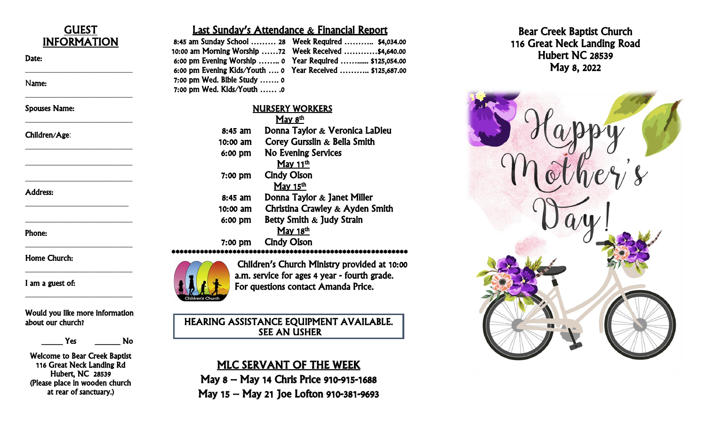

Would you like more information about our church?

Yes No

Welcome to Bear Creek Baptist 116 Great Neck Landing Rd Hubert, NC 28539 (Please place in wooden church at rear of sanctuary.)

## Last Sunday's Attendance & Financial Report

|                                                      | 8:45 am Sunday School  28 Week Required  \$4,034.00       |
|------------------------------------------------------|-----------------------------------------------------------|
| 10:00 am Morning Worship 72 Week Received \$4,640.00 |                                                           |
|                                                      | 6:00 pm Evening Worship  0 Year Required  \$125,054.00    |
|                                                      | 6:00 pm Evening Kids/Youth  0 Year Received  \$125,687.00 |
| 7:00 pm Wed. Bible Study  0                          |                                                           |
| 7:00 pm Wed. Kids/Youth  .0                          |                                                           |

## NURSERY WORKERS

|           | <u>May 8<sup>th</sup></u>       |
|-----------|---------------------------------|
| $8:45$ am | Donna Taylor & Veronica LaDieu  |
| 10:00 am  | Corey Gursslin & Bella Smith    |
| $6:00$ pm | <b>No Evening Services</b>      |
|           | May $11^{\text{th}}$            |
| $7:00$ pm | <b>Cindy Olson</b>              |
|           | May 15 <sup>th</sup>            |
| $8:45$ am | Donna Taylor & Janet Miller     |
| 10:00 am  | Christina Crawley & Ayden Smith |
| $6:00$ pm | Betty Smith & Judy Strain       |
|           | May 18 <sup>th</sup>            |
| 7:00 pm   | <b>Cindy Olson</b>              |
|           |                                 |
|           |                                 |

Children's Church Ministry provided at 10:00 a.m. service for ages 4 year - fourth grade. For questions contact Amanda Price.

HEARING ASSISTANCE EQUIPMENT AVAILABLE. SEE AN USHER

# MLC SERVANT OF THE WEEK

May 8 – May 14 Chris Price 910 -915 -1688 May 15 – May 21 Joe Lofton 910 -381 -9693



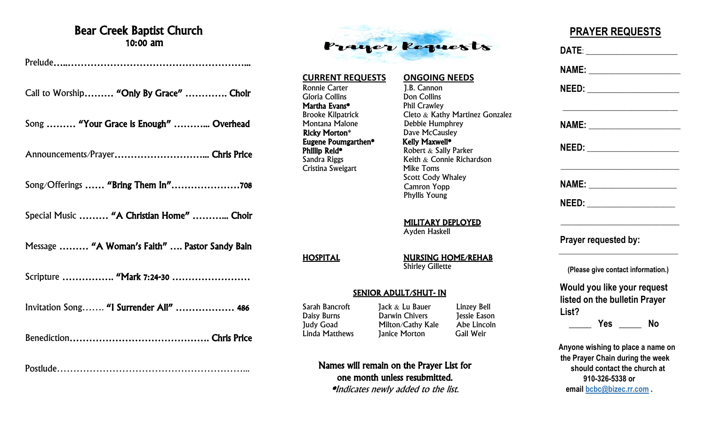# Bear Creek Baptist Church 10:00 am

Prelude…..………………………………………………...

Call to Worship……… "Only By Grace" …………. Choir

Song ……… "Your Grace is Enough" ………... Overhead

Announcements/Prayer………………………... Chris Price

Song/Offerings …… "Bring Them In"…………………708

Special Music ……… "A Christian Home" ………... Choir

Message ……… "A Woman's Faith" …. Pastor Sandy Bain

Scripture ………………… "Mark 7:24-30 ……………………

Invitation Song……. "I Surrender All" ……………… 486

Benediction……………………………………. Chris Price

Postlude…………………………………………………...



### **CURRENT REQUESTS ONGOING NEEDS**

Ronnie Carter 1.B. Cannon Gloria Collins Don Collins Martha Evans\* Phil Crawley Montana Malone Debbie Humphrey<br> **Ricky Morton**\* Dave McCausley Eugene Poumgarthen\*<br>Phillip Reid\* **Phillip Reid\*** Robert & Sally Parker<br>
Sandra Riggs Reith & Connie Richa Cristina Sweigart

Brooke Kilpatrick Cleto & Kathy Martinez Gonzalez Dave McCausley<br>Kelly Maxwell\* Keith  $&$  Connie Richardson<br>Mike Toms Scott Cody Whaley Camron Yopp

> MILITARY DEPLOYED Ayden Haskell

HOSPITAL NURSING HOME/REHAB **Shirley Gillette** 

Phyllis Young

#### SENIOR ADULT/SHUT- IN

Daisy Burns Darwin Chivers

Sarah Bancroft Jack & Lu Bauer Linzey Bell Judy Goad Milton/Cathy Kale Abe Lincoln Linda Matthews Janice Morton Gail Weir

Names will remain on the Prayer List for one month unless resubmitted. \*Indicates newly added to the list.

# **PRAYER REQUESTS**

 **DATE**: \_\_\_\_\_\_\_\_\_\_\_\_\_\_\_\_\_\_\_\_\_\_\_\_  **NAME:** \_\_\_\_\_\_\_\_\_\_\_\_\_\_\_\_\_\_\_\_\_\_\_\_  **NEED:** \_\_\_\_\_\_\_\_\_\_\_\_\_\_\_\_\_\_\_\_\_\_\_\_  $\overline{\phantom{a}}$  , which is a set of the set of the set of the set of the set of the set of the set of the set of the set of the set of the set of the set of the set of the set of the set of the set of the set of the set of th  **NAME:** \_\_\_\_\_\_\_\_\_\_\_\_\_\_\_\_\_\_\_\_\_\_\_\_  **NEED:** \_\_\_\_\_\_\_\_\_\_\_\_\_\_\_\_\_\_\_\_\_\_\_\_ \_\_\_\_\_\_\_\_\_\_\_\_\_\_\_\_\_\_\_\_\_\_\_\_\_\_\_\_\_\_\_ **NAME:**  $\blacksquare$  **NEED:** \_\_\_\_\_\_\_\_\_\_\_\_\_\_\_\_\_\_\_\_\_\_\_ \_\_\_\_\_\_\_\_\_\_\_\_\_\_\_\_\_\_\_\_\_\_\_\_\_\_\_\_\_\_\_  **Prayer requested by:**  $\frac{1}{2}$  ,  $\frac{1}{2}$  ,  $\frac{1}{2}$  ,  $\frac{1}{2}$  ,  $\frac{1}{2}$  ,  $\frac{1}{2}$  ,  $\frac{1}{2}$  ,  $\frac{1}{2}$  ,  $\frac{1}{2}$  ,  $\frac{1}{2}$  ,  $\frac{1}{2}$  ,  $\frac{1}{2}$  ,  $\frac{1}{2}$  ,  $\frac{1}{2}$  ,  $\frac{1}{2}$  ,  $\frac{1}{2}$  ,  $\frac{1}{2}$  ,  $\frac{1}{2}$  ,  $\frac{1$  **(Please give contact information.) Would you like your request listed on the bulletin Prayer List? \_\_\_\_\_ Yes \_\_\_\_\_ No Anyone wishing to place a name on the Prayer Chain during the week should contact the church at 910-326-5338 or email [bcbc@bizec.rr.com](mailto:bcbc@bizec.rr.com) .**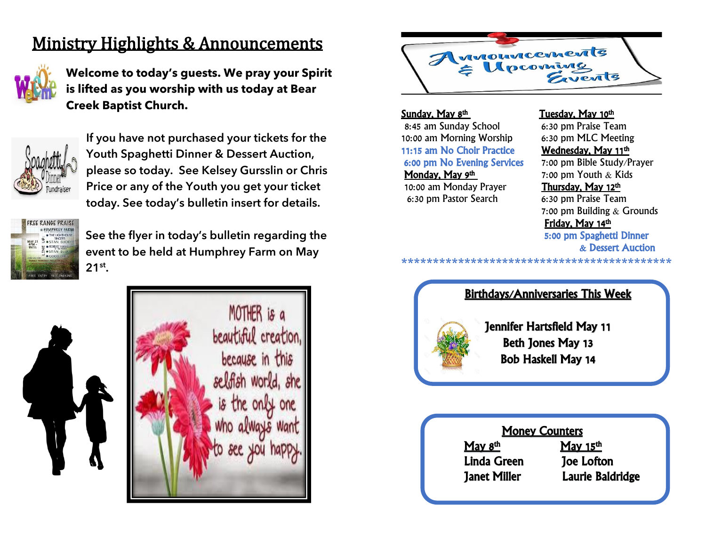# Ministry Highlights & Announcements



**Welcome to today's guests. We pray your Spirit is lifted as you worship with us today at Bear Creek Baptist Church.**



**If you have not purchased your tickets for the Youth Spaghetti Dinner & Dessert Auction, please so today. See Kelsey Gursslin or Chris Price or any of the Youth you get your ticket today. See today's bulletin insert for details.** 



**See the flyer in today's bulletin regarding the event to be held at Humphrey Farm on May 21st .**





<u>Sunday, May 8<sup>th</sup></u> 8:45 am Sunday School 6:30 pm Praise Team 10:00 am Morning Worship 6:30 pm MLC Meeting 11:15 am No Choir Practice **Wednesday, May 11<sup>th</sup>** 6:00 pm No Evening Services 7:00 pm Bible Study/Prayer 6:00 pm No Evening Services Monday, May 9th

10:00 am Monday Prayer Thursday, May 12th 6:30 pm Pastor Search 6:30 pm Praise Team

### Tuesday, May 10<sup>th</sup>

Wednesday, May 11th

7:00 pm Youth & Kids

 7:00 pm Building & Grounds Friday, May 14th 5:00 pm Spaghetti Dinner & Dessert Auction

**\*\*\*\*\*\*\*\*\*\*\*\*\*\*\*\*\*\*\*\*\*\*\*\*\*\*\*\*\*\*\*\*\*\*\*\*\*\*\*\*\*\*\***



Bob Haskell May 14